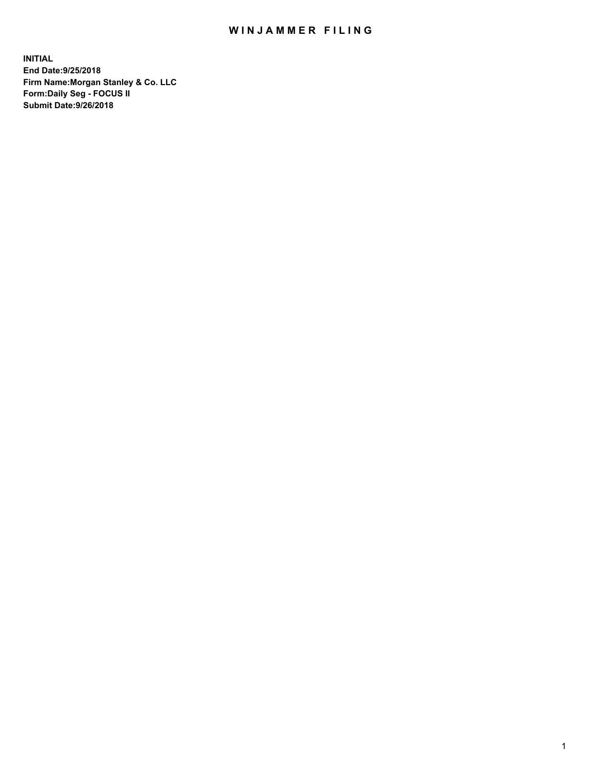## WIN JAMMER FILING

**INITIAL End Date:9/25/2018 Firm Name:Morgan Stanley & Co. LLC Form:Daily Seg - FOCUS II Submit Date:9/26/2018**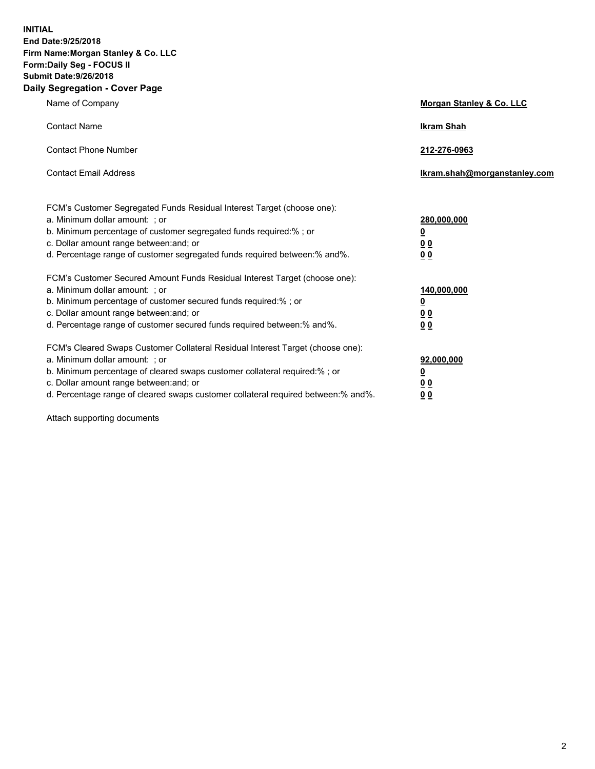**INITIAL End Date:9/25/2018 Firm Name:Morgan Stanley & Co. LLC Form:Daily Seg - FOCUS II Submit Date:9/26/2018 Daily Segregation - Cover Page**

| Name of Company                                                                                                                                                                                                                                                                                                                | Morgan Stanley & Co. LLC                               |
|--------------------------------------------------------------------------------------------------------------------------------------------------------------------------------------------------------------------------------------------------------------------------------------------------------------------------------|--------------------------------------------------------|
| <b>Contact Name</b>                                                                                                                                                                                                                                                                                                            | <b>Ikram Shah</b>                                      |
| <b>Contact Phone Number</b>                                                                                                                                                                                                                                                                                                    | 212-276-0963                                           |
| <b>Contact Email Address</b>                                                                                                                                                                                                                                                                                                   | lkram.shah@morganstanley.com                           |
| FCM's Customer Segregated Funds Residual Interest Target (choose one):<br>a. Minimum dollar amount: ; or<br>b. Minimum percentage of customer segregated funds required:% ; or<br>c. Dollar amount range between: and; or<br>d. Percentage range of customer segregated funds required between:% and%.                         | 280,000,000<br><u>0</u><br><u>0 0</u><br>0 Q           |
| FCM's Customer Secured Amount Funds Residual Interest Target (choose one):<br>a. Minimum dollar amount: ; or<br>b. Minimum percentage of customer secured funds required:%; or<br>c. Dollar amount range between: and; or<br>d. Percentage range of customer secured funds required between:% and%.                            | 140,000,000<br><u>0</u><br><u>00</u><br>0 <sub>0</sub> |
| FCM's Cleared Swaps Customer Collateral Residual Interest Target (choose one):<br>a. Minimum dollar amount: ; or<br>b. Minimum percentage of cleared swaps customer collateral required:% ; or<br>c. Dollar amount range between: and; or<br>d. Percentage range of cleared swaps customer collateral required between:% and%. | 92,000,000<br><u>0</u><br><u>00</u><br>0 <sup>0</sup>  |

Attach supporting documents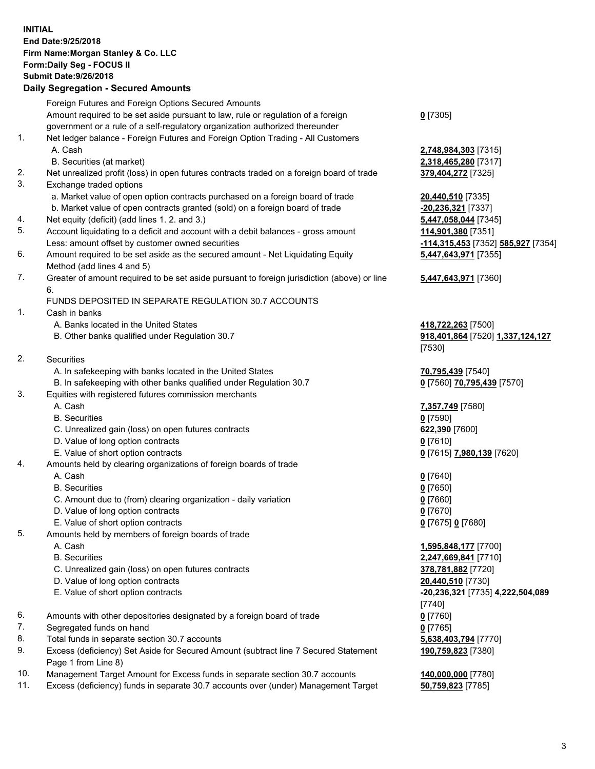## **INITIAL End Date:9/25/2018 Firm Name:Morgan Stanley & Co. LLC Form:Daily Seg - FOCUS II Submit Date:9/26/2018**

## **Daily Segregation - Secured Amounts**

|     | Foreign Futures and Foreign Options Secured Amounts                                                        |                                    |
|-----|------------------------------------------------------------------------------------------------------------|------------------------------------|
|     | Amount required to be set aside pursuant to law, rule or regulation of a foreign                           | $0$ [7305]                         |
|     | government or a rule of a self-regulatory organization authorized thereunder                               |                                    |
| 1.  | Net ledger balance - Foreign Futures and Foreign Option Trading - All Customers                            |                                    |
|     | A. Cash                                                                                                    | 2,748,984,303 [7315]               |
|     | B. Securities (at market)                                                                                  | 2,318,465,280 [7317]               |
| 2.  | Net unrealized profit (loss) in open futures contracts traded on a foreign board of trade                  | 379,404,272 [7325]                 |
| 3.  | Exchange traded options                                                                                    |                                    |
|     | a. Market value of open option contracts purchased on a foreign board of trade                             | 20,440,510 [7335]                  |
|     | b. Market value of open contracts granted (sold) on a foreign board of trade                               | -20,236,321 [7337]                 |
| 4.  | Net equity (deficit) (add lines 1.2. and 3.)                                                               | 5,447,058,044 [7345]               |
| 5.  | Account liquidating to a deficit and account with a debit balances - gross amount                          | 114,901,380 [7351]                 |
|     | Less: amount offset by customer owned securities                                                           | -114,315,453 [7352] 585,927 [7354] |
| 6.  | Amount required to be set aside as the secured amount - Net Liquidating Equity                             | 5,447,643,971 [7355]               |
|     | Method (add lines 4 and 5)                                                                                 |                                    |
| 7.  | Greater of amount required to be set aside pursuant to foreign jurisdiction (above) or line                | 5,447,643,971 [7360]               |
|     | 6.                                                                                                         |                                    |
|     | FUNDS DEPOSITED IN SEPARATE REGULATION 30.7 ACCOUNTS                                                       |                                    |
| 1.  | Cash in banks                                                                                              |                                    |
|     | A. Banks located in the United States                                                                      | 418,722,263 [7500]                 |
|     | B. Other banks qualified under Regulation 30.7                                                             | 918,401,864 [7520] 1,337,124,127   |
|     |                                                                                                            | [7530]                             |
| 2.  | Securities                                                                                                 |                                    |
|     | A. In safekeeping with banks located in the United States                                                  | 70,795,439 [7540]                  |
|     | B. In safekeeping with other banks qualified under Regulation 30.7                                         | 0 [7560] 70,795,439 [7570]         |
| 3.  | Equities with registered futures commission merchants                                                      |                                    |
|     | A. Cash                                                                                                    | 7,357,749 [7580]                   |
|     | <b>B.</b> Securities                                                                                       | $0$ [7590]                         |
|     | C. Unrealized gain (loss) on open futures contracts                                                        | 622,390 [7600]                     |
|     | D. Value of long option contracts                                                                          | $0$ [7610]                         |
|     | E. Value of short option contracts                                                                         | 0 [7615] 7,980,139 [7620]          |
| 4.  | Amounts held by clearing organizations of foreign boards of trade                                          |                                    |
|     | A. Cash                                                                                                    | $0$ [7640]                         |
|     | <b>B.</b> Securities                                                                                       | $0$ [7650]                         |
|     | C. Amount due to (from) clearing organization - daily variation                                            | $0$ [7660]                         |
|     | D. Value of long option contracts                                                                          | $0$ [7670]                         |
|     | E. Value of short option contracts                                                                         | 0 [7675] 0 [7680]                  |
| 5.  | Amounts held by members of foreign boards of trade                                                         |                                    |
|     | A. Cash                                                                                                    | 1,595,848,177 [7700]               |
|     | <b>B.</b> Securities                                                                                       | 2,247,669,841 [7710]               |
|     | C. Unrealized gain (loss) on open futures contracts                                                        | 378,781,882 [7720]                 |
|     | D. Value of long option contracts                                                                          | 20,440,510 [7730]                  |
|     | E. Value of short option contracts                                                                         | -20,236,321 [7735] 4,222,504,089   |
|     |                                                                                                            | [7740]                             |
| 6.  | Amounts with other depositories designated by a foreign board of trade                                     | $0$ [7760]                         |
| 7.  | Segregated funds on hand                                                                                   | $0$ [7765]                         |
| 8.  | Total funds in separate section 30.7 accounts                                                              | 5,638,403,794 [7770]               |
| 9.  | Excess (deficiency) Set Aside for Secured Amount (subtract line 7 Secured Statement<br>Page 1 from Line 8) | 190,759,823 [7380]                 |
| 10. | Management Target Amount for Excess funds in separate section 30.7 accounts                                | 140,000,000 [7780]                 |
|     |                                                                                                            |                                    |

11. Excess (deficiency) funds in separate 30.7 accounts over (under) Management Target **50,759,823** [7785]

3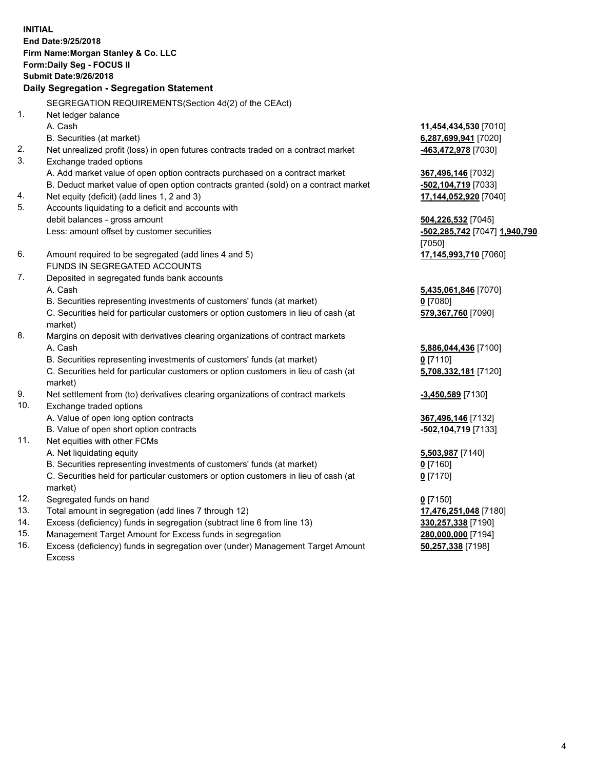**INITIAL End Date:9/25/2018 Firm Name:Morgan Stanley & Co. LLC Form:Daily Seg - FOCUS II Submit Date:9/26/2018 Daily Segregation - Segregation Statement** SEGREGATION REQUIREMENTS(Section 4d(2) of the CEAct) 1. Net ledger balance A. Cash **11,454,434,530** [7010] B. Securities (at market) **6,287,699,941** [7020] 2. Net unrealized profit (loss) in open futures contracts traded on a contract market **-463,472,978** [7030] 3. Exchange traded options A. Add market value of open option contracts purchased on a contract market **367,496,146** [7032] B. Deduct market value of open option contracts granted (sold) on a contract market **-502,104,719** [7033] 4. Net equity (deficit) (add lines 1, 2 and 3) **17,144,052,920** [7040] 5. Accounts liquidating to a deficit and accounts with debit balances - gross amount **504,226,532** [7045] Less: amount offset by customer securities **-502,285,742** [7047] **1,940,790** [7050] 6. Amount required to be segregated (add lines 4 and 5) **17,145,993,710** [7060] FUNDS IN SEGREGATED ACCOUNTS 7. Deposited in segregated funds bank accounts A. Cash **5,435,061,846** [7070] B. Securities representing investments of customers' funds (at market) **0** [7080] C. Securities held for particular customers or option customers in lieu of cash (at market) **579,367,760** [7090] 8. Margins on deposit with derivatives clearing organizations of contract markets A. Cash **5,886,044,436** [7100] B. Securities representing investments of customers' funds (at market) **0** [7110] C. Securities held for particular customers or option customers in lieu of cash (at market) **5,708,332,181** [7120] 9. Net settlement from (to) derivatives clearing organizations of contract markets **-3,450,589** [7130] 10. Exchange traded options A. Value of open long option contracts **367,496,146** [7132] B. Value of open short option contracts **and the set of our of the set of our of the set of our of the set of the set of the set of the set of the set of the set of the set of the set of the set of the set of the set of th** 11. Net equities with other FCMs A. Net liquidating equity **5,503,987** [7140] B. Securities representing investments of customers' funds (at market) **0** [7160] C. Securities held for particular customers or option customers in lieu of cash (at market) **0** [7170] 12. Segregated funds on hand **0** [7150] 13. Total amount in segregation (add lines 7 through 12) **17,476,251,048** [7180] 14. Excess (deficiency) funds in segregation (subtract line 6 from line 13) **330,257,338** [7190]

- 15. Management Target Amount for Excess funds in segregation **280,000,000** [7194]
- 16. Excess (deficiency) funds in segregation over (under) Management Target Amount Excess

**50,257,338** [7198]